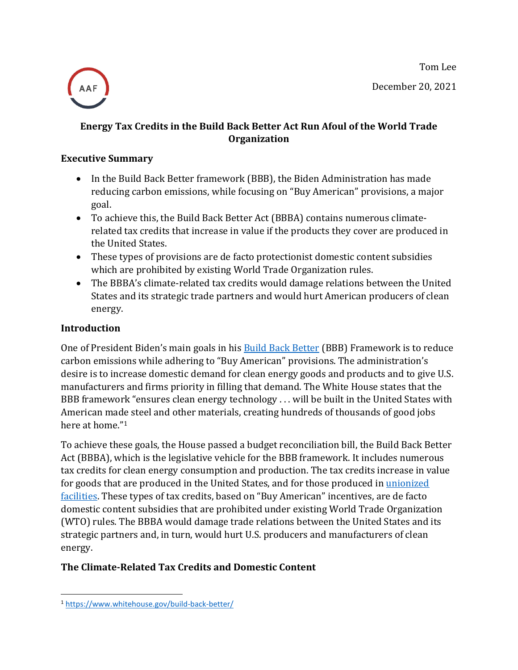Tom Lee December 20, 2021



## **Energy Tax Credits in the Build Back Better Act Run Afoul of the World Trade Organization**

#### **Executive Summary**

- In the Build Back Better framework (BBB), the Biden Administration has made reducing carbon emissions, while focusing on "Buy American" provisions, a major goal.
- To achieve this, the Build Back Better Act (BBBA) contains numerous climaterelated tax credits that increase in value if the products they cover are produced in the United States.
- These types of provisions are de facto protectionist domestic content subsidies which are prohibited by existing World Trade Organization rules.
- The BBBA's climate-related tax credits would damage relations between the United States and its strategic trade partners and would hurt American producers of clean energy.

#### **Introduction**

One of President Biden's main goals in his **Build Back Better** (BBB) Framework is to reduce carbon emissions while adhering to "Buy American" provisions. The administration's desire is to increase domestic demand for clean energy goods and products and to give U.S. manufacturers and firms priority in filling that demand. The White House states that the BBB framework "ensures clean energy technology . . . will be built in the United States with American made steel and other materials, creating hundreds of thousands of good jobs here at home."<sup>1</sup>

To achieve these goals, the House passed a budget reconciliation bill, the Build Back Better Act (BBBA), which is the legislative vehicle for the BBB framework. It includes numerous tax credits for clean energy consumption and production. The tax credits increase in value for goods that are produced in the United States, and for those produced in *unionized* [facilities.](https://www.americanactionforum.org/insight/how-the-bbbas-union-labor-requirements-undermine-its-climate-goals/) These types of tax credits, based on "Buy American" incentives, are de facto domestic content subsidies that are prohibited under existing World Trade Organization (WTO) rules. The BBBA would damage trade relations between the United States and its strategic partners and, in turn, would hurt U.S. producers and manufacturers of clean energy.

## **The Climate-Related Tax Credits and Domestic Content**

<sup>1</sup> <https://www.whitehouse.gov/build-back-better/>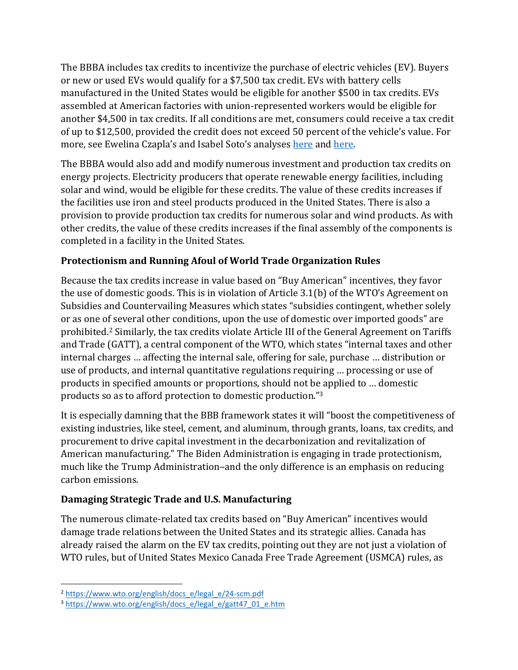The BBBA includes tax credits to incentivize the purchase of electric vehicles (EV). Buyers or new or used EVs would qualify for a \$7,500 tax credit. EVs with battery cells manufactured in the United States would be eligible for another \$500 in tax credits. EVs assembled at American factories with union-represented workers would be eligible for another \$4,500 in tax credits. If all conditions are met, consumers could receive a tax credit of up to \$12,500, provided the credit does not exceed 50 percent of the vehicle's value. For more, see Ewelina Czapla's and Isabel Soto's analyses [here](https://www.americanactionforum.org/insight/climate-implications-of-the-bbbas-ev-provisions/) an[d here.](https://www.americanactionforum.org/insight/how-the-bbbas-union-labor-requirements-undermine-its-climate-goals/)

The BBBA would also add and modify numerous investment and production tax credits on energy projects. Electricity producers that operate renewable energy facilities, including solar and wind, would be eligible for these credits. The value of these credits increases if the facilities use iron and steel products produced in the United States. There is also a provision to provide production tax credits for numerous solar and wind products. As with other credits, the value of these credits increases if the final assembly of the components is completed in a facility in the United States.

# **Protectionism and Running Afoul of World Trade Organization Rules**

Because the tax credits increase in value based on "Buy American" incentives, they favor the use of domestic goods. This is in violation of Article 3.1(b) of the WTO's Agreement on Subsidies and Countervailing Measures which states "subsidies contingent, whether solely or as one of several other conditions, upon the use of domestic over imported goods" are prohibited.<sup>2</sup> Similarly, the tax credits violate Article III of the General Agreement on Tariffs and Trade (GATT), a central component of the WTO, which states "internal taxes and other internal charges … affecting the internal sale, offering for sale, purchase … distribution or use of products, and internal quantitative regulations requiring … processing or use of products in specified amounts or proportions, should not be applied to … domestic products so as to afford protection to domestic production." 3

It is especially damning that the BBB framework states it will "boost the competitiveness of existing industries, like steel, cement, and aluminum, through grants, loans, tax credits, and procurement to drive capital investment in the decarbonization and revitalization of American manufacturing." The Biden Administration is engaging in trade protectionism, much like the Trump Administration–and the only difference is an emphasis on reducing carbon emissions.

## **Damaging Strategic Trade and U.S. Manufacturing**

The numerous climate-related tax credits based on "Buy American" incentives would damage trade relations between the United States and its strategic allies. Canada has already raised the alarm on the EV tax credits, pointing out they are not just a violation of WTO rules, but of United States Mexico Canada Free Trade Agreement (USMCA) rules, as

<sup>2</sup> [https://www.wto.org/english/docs\\_e/legal\\_e/24-scm.pdf](https://www.wto.org/english/docs_e/legal_e/24-scm.pdf)

<sup>3</sup> [https://www.wto.org/english/docs\\_e/legal\\_e/gatt47\\_01\\_e.htm](https://www.wto.org/english/docs_e/legal_e/gatt47_01_e.htm)